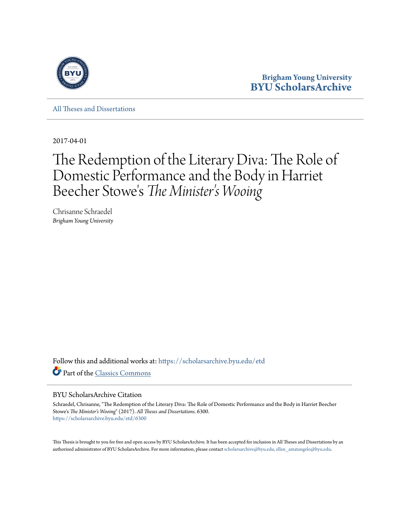

**Brigham Young University [BYU ScholarsArchive](https://scholarsarchive.byu.edu?utm_source=scholarsarchive.byu.edu%2Fetd%2F6300&utm_medium=PDF&utm_campaign=PDFCoverPages)**

[All Theses and Dissertations](https://scholarsarchive.byu.edu/etd?utm_source=scholarsarchive.byu.edu%2Fetd%2F6300&utm_medium=PDF&utm_campaign=PDFCoverPages)

2017-04-01

# The Redemption of the Literary Diva: The Role of Domestic Performance and the Body in Harriet Beecher Stowe 's *The Minister's Wooing*

Chrisanne Schraedel *Brigham Young University*

Follow this and additional works at: [https://scholarsarchive.byu.edu/etd](https://scholarsarchive.byu.edu/etd?utm_source=scholarsarchive.byu.edu%2Fetd%2F6300&utm_medium=PDF&utm_campaign=PDFCoverPages) Part of the [Classics Commons](http://network.bepress.com/hgg/discipline/446?utm_source=scholarsarchive.byu.edu%2Fetd%2F6300&utm_medium=PDF&utm_campaign=PDFCoverPages)

#### BYU ScholarsArchive Citation

Schraedel, Chrisanne, "The Redemption of the Literary Diva: The Role of Domestic Performance and the Body in Harriet Beecher Stowe's *The Minister's Wooing*" (2017). *All Theses and Dissertations*. 6300. [https://scholarsarchive.byu.edu/etd/6300](https://scholarsarchive.byu.edu/etd/6300?utm_source=scholarsarchive.byu.edu%2Fetd%2F6300&utm_medium=PDF&utm_campaign=PDFCoverPages)

This Thesis is brought to you for free and open access by BYU ScholarsArchive. It has been accepted for inclusion in All Theses and Dissertations by an authorized administrator of BYU ScholarsArchive. For more information, please contact [scholarsarchive@byu.edu, ellen\\_amatangelo@byu.edu.](mailto:scholarsarchive@byu.edu,%20ellen_amatangelo@byu.edu)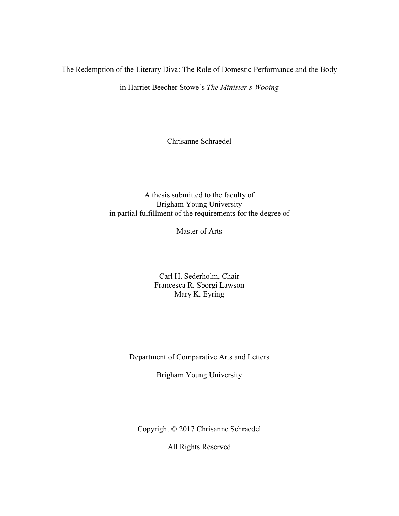<span id="page-1-0"></span>The Redemption of the Literary Diva: The Role of Domestic Performance and the Body

in Harriet Beecher Stowe's *The Minister's Wooing*

Chrisanne Schraedel

# A thesis submitted to the faculty of Brigham Young University in partial fulfillment of the requirements for the degree of

Master of Arts

Carl H. Sederholm, Chair Francesca R. Sborgi Lawson Mary K. Eyring

Department of Comparative Arts and Letters

Brigham Young University

Copyright © 2017 Chrisanne Schraedel

All Rights Reserved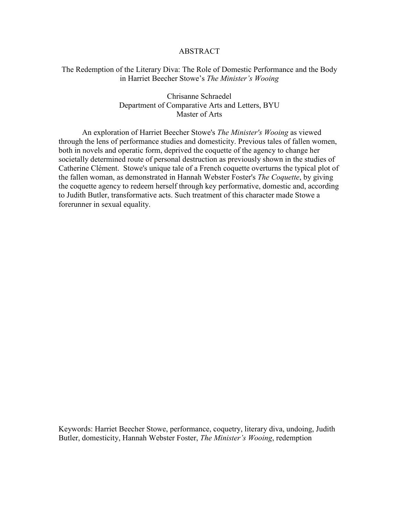#### ABSTRACT

# <span id="page-2-0"></span>The Redemption of the Literary Diva: The Role of Domestic Performance and the Body in Harriet Beecher Stowe's *The Minister's Wooing*

# Chrisanne Schraedel Department of Comparative Arts and Letters, BYU Master of Arts

An exploration of Harriet Beecher Stowe's *The Minister's Wooing* as viewed through the lens of performance studies and domesticity. Previous tales of fallen women, both in novels and operatic form, deprived the coquette of the agency to change her societally determined route of personal destruction as previously shown in the studies of Catherine Clément. Stowe's unique tale of a French coquette overturns the typical plot of the fallen woman, as demonstrated in Hannah Webster Foster's *The Coquette*, by giving the coquette agency to redeem herself through key performative, domestic and, according to Judith Butler, transformative acts. Such treatment of this character made Stowe a forerunner in sexual equality.

Keywords: Harriet Beecher Stowe, performance, coquetry, literary diva, undoing, Judith Butler, domesticity, Hannah Webster Foster, *The Minister's Wooing*, redemption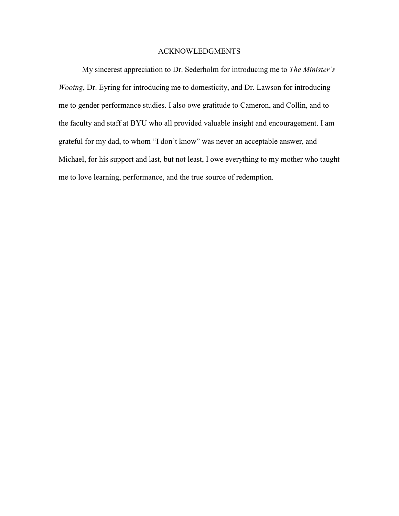## ACKNOWLEDGMENTS

<span id="page-3-0"></span>My sincerest appreciation to Dr. Sederholm for introducing me to *The Minister's Wooing*, Dr. Eyring for introducing me to domesticity, and Dr. Lawson for introducing me to gender performance studies. I also owe gratitude to Cameron, and Collin, and to the faculty and staff at BYU who all provided valuable insight and encouragement. I am grateful for my dad, to whom "I don't know" was never an acceptable answer, and Michael, for his support and last, but not least, I owe everything to my mother who taught me to love learning, performance, and the true source of redemption.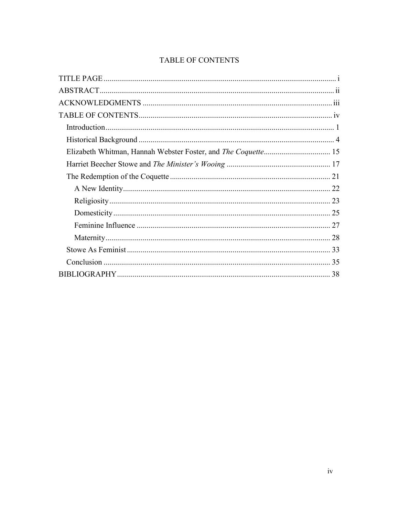# <span id="page-4-0"></span>TABLE OF CONTENTS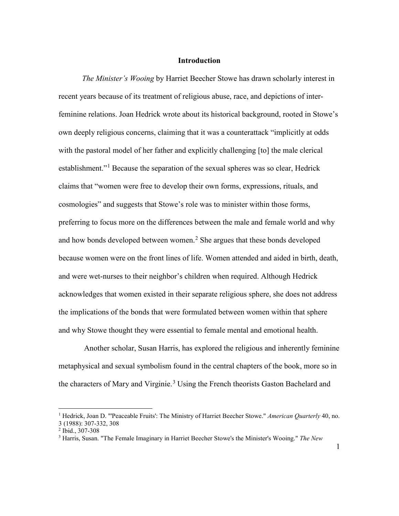#### **Introduction**

<span id="page-5-0"></span>*The Minister's Wooing* by Harriet Beecher Stowe has drawn scholarly interest in recent years because of its treatment of religious abuse, race, and depictions of interfeminine relations. Joan Hedrick wrote about its historical background, rooted in Stowe's own deeply religious concerns, claiming that it was a counterattack "implicitly at odds with the pastoral model of her father and explicitly challenging [to] the male clerical establishment."<sup>[1](#page-5-1)</sup> Because the separation of the sexual spheres was so clear, Hedrick claims that "women were free to develop their own forms, expressions, rituals, and cosmologies" and suggests that Stowe's role was to minister within those forms, preferring to focus more on the differences between the male and female world and why and how bonds developed between women.<sup>[2](#page-5-2)</sup> She argues that these bonds developed because women were on the front lines of life. Women attended and aided in birth, death, and were wet-nurses to their neighbor's children when required. Although Hedrick acknowledges that women existed in their separate religious sphere, she does not address the implications of the bonds that were formulated between women within that sphere and why Stowe thought they were essential to female mental and emotional health.

 Another scholar, Susan Harris, has explored the religious and inherently feminine metaphysical and sexual symbolism found in the central chapters of the book, more so in the characters of Mary and Virginie.<sup>[3](#page-5-3)</sup> Using the French theorists Gaston Bachelard and

<span id="page-5-1"></span><sup>&</sup>lt;sup>1</sup> Hedrick, Joan D. "'Peaceable Fruits': The Ministry of Harriet Beecher Stowe." American Quarterly 40, no. 3 (1988): 307-332, 308

<span id="page-5-2"></span><sup>2</sup> Ibid., 307-308

<span id="page-5-3"></span><sup>3</sup> Harris, Susan. "The Female Imaginary in Harriet Beecher Stowe's the Minister's Wooing." *The New*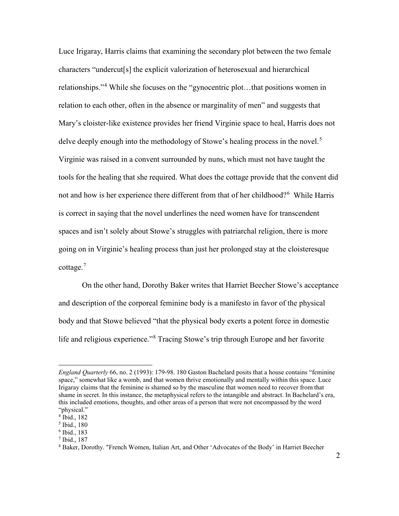Luce Irigaray, Harris claims that examining the secondary plot between the two female characters "undercut[s] the explicit valorization of heterosexual and hierarchical relationships."[4](#page-6-0) While she focuses on the "gynocentric plot…that positions women in relation to each other, often in the absence or marginality of men" and suggests that Mary's cloister-like existence provides her friend Virginie space to heal, Harris does not delve deeply enough into the methodology of Stowe's healing process in the novel.<sup>[5](#page-6-1)</sup> Virginie was raised in a convent surrounded by nuns, which must not have taught the tools for the healing that she required. What does the cottage provide that the convent did not and how is her experience there different from that of her childhood?<sup>[6](#page-6-2)</sup> While Harris is correct in saying that the novel underlines the need women have for transcendent spaces and isn't solely about Stowe's struggles with patriarchal religion, there is more going on in Virginie's healing process than just her prolonged stay at the cloisteresque cottage. [7](#page-6-3)

On the other hand, Dorothy Baker writes that Harriet Beecher Stowe's acceptance and description of the corporeal feminine body is a manifesto in favor of the physical body and that Stowe believed "that the physical body exerts a potent force in domestic life and religious experience."[8](#page-6-4) Tracing Stowe's trip through Europe and her favorite

<span id="page-6-3"></span><sup>7</sup> Ibid., 187

*England Quarterly* 66, no. 2 (1993): 179-98. 180 Gaston Bachelard posits that a house contains "feminine space," somewhat like a womb, and that women thrive emotionally and mentally within this space. Luce Irigaray claims that the feminine is shamed so by the masculine that women need to recover from that shame in secret. In this instance, the metaphysical refers to the intangible and abstract. In Bachelard's era, this included emotions, thoughts, and other areas of a person that were not encompassed by the word "physical."

<span id="page-6-0"></span><sup>4</sup> Ibid., 182

<span id="page-6-1"></span><sup>5</sup> Ibid., 180

<span id="page-6-2"></span> $6$  Ibid., 183

<span id="page-6-4"></span><sup>8</sup> Baker, Dorothy. "French Women, Italian Art, and Other 'Advocates of the Body' in Harriet Beecher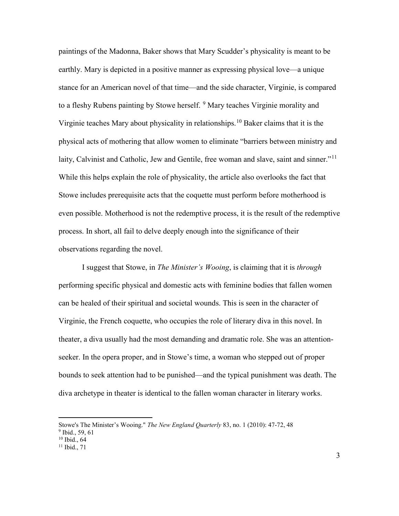paintings of the Madonna, Baker shows that Mary Scudder's physicality is meant to be earthly. Mary is depicted in a positive manner as expressing physical love—a unique stance for an American novel of that time—and the side character, Virginie, is compared to a fleshy Rubens painting by Stowe herself. <sup>[9](#page-7-0)</sup> Mary teaches Virginie morality and Virginie teaches Mary about physicality in relationships.[10](#page-7-1) Baker claims that it is the physical acts of mothering that allow women to eliminate "barriers between ministry and laity, Calvinist and Catholic, Jew and Gentile, free woman and slave, saint and sinner."<sup>[11](#page-7-2)</sup> While this helps explain the role of physicality, the article also overlooks the fact that Stowe includes prerequisite acts that the coquette must perform before motherhood is even possible. Motherhood is not the redemptive process, it is the result of the redemptive process. In short, all fail to delve deeply enough into the significance of their observations regarding the novel.

I suggest that Stowe, in *The Minister's Wooing*, is claiming that it is *through* performing specific physical and domestic acts with feminine bodies that fallen women can be healed of their spiritual and societal wounds. This is seen in the character of Virginie, the French coquette, who occupies the role of literary diva in this novel. In theater, a diva usually had the most demanding and dramatic role. She was an attentionseeker. In the opera proper, and in Stowe's time, a woman who stepped out of proper bounds to seek attention had to be punished—and the typical punishment was death. The diva archetype in theater is identical to the fallen woman character in literary works.

Stowe's The Minister's Wooing." *The New England Quarterly* 83, no. 1 (2010): 47-72, 48

<span id="page-7-0"></span> $9$  Ibid., 59, 61

<span id="page-7-1"></span> $10$  Ibid.,  $64$ 

<span id="page-7-2"></span> $11$  Ibid., 71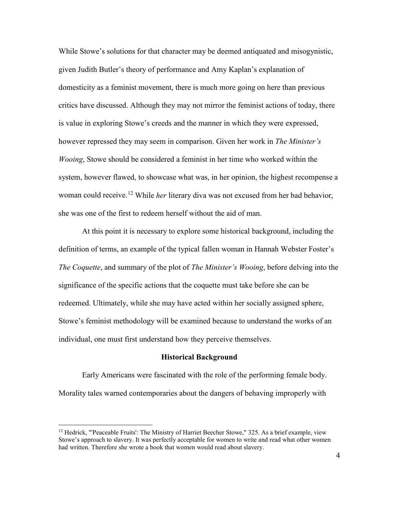While Stowe's solutions for that character may be deemed antiquated and misogynistic, given Judith Butler's theory of performance and Amy Kaplan's explanation of domesticity as a feminist movement, there is much more going on here than previous critics have discussed. Although they may not mirror the feminist actions of today, there is value in exploring Stowe's creeds and the manner in which they were expressed, however repressed they may seem in comparison. Given her work in *The Minister's Wooing*, Stowe should be considered a feminist in her time who worked within the system, however flawed, to showcase what was, in her opinion, the highest recompense a woman could receive. [12](#page-8-1) While *her* literary diva was not excused from her bad behavior, she was one of the first to redeem herself without the aid of man.

At this point it is necessary to explore some historical background, including the definition of terms, an example of the typical fallen woman in Hannah Webster Foster's *The Coquette*, and summary of the plot of *The Minister's Wooing*, before delving into the significance of the specific actions that the coquette must take before she can be redeemed. Ultimately, while she may have acted within her socially assigned sphere, Stowe's feminist methodology will be examined because to understand the works of an individual, one must first understand how they perceive themselves.

## **Historical Background**

<span id="page-8-0"></span>Early Americans were fascinated with the role of the performing female body. Morality tales warned contemporaries about the dangers of behaving improperly with

<span id="page-8-1"></span> $12$  Hedrick, "'Peaceable Fruits': The Ministry of Harriet Beecher Stowe," 325. As a brief example, view Stowe's approach to slavery. It was perfectly acceptable for women to write and read what other women had written. Therefore she wrote a book that women would read about slavery.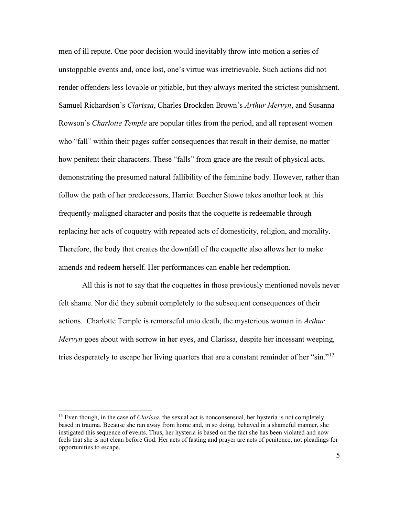men of ill repute. One poor decision would inevitably throw into motion a series of unstoppable events and, once lost, one's virtue was irretrievable. Such actions did not render offenders less lovable or pitiable, but they always merited the strictest punishment. Samuel Richardson's *Clarissa*, Charles Brockden Brown's *Arthur Mervyn*, and Susanna Rowson's *Charlotte Temple* are popular titles from the period, and all represent women who "fall" within their pages suffer consequences that result in their demise, no matter how penitent their characters. These "falls" from grace are the result of physical acts, demonstrating the presumed natural fallibility of the feminine body. However, rather than follow the path of her predecessors, Harriet Beecher Stowe takes another look at this frequently-maligned character and posits that the coquette is redeemable through replacing her acts of coquetry with repeated acts of domesticity, religion, and morality. Therefore, the body that creates the downfall of the coquette also allows her to make amends and redeem herself. Her performances can enable her redemption.

All this is not to say that the coquettes in those previously mentioned novels never felt shame. Nor did they submit completely to the subsequent consequences of their actions. Charlotte Temple is remorseful unto death, the mysterious woman in *Arthur Mervyn* goes about with sorrow in her eyes, and Clarissa, despite her incessant weeping, tries desperately to escape her living quarters that are a constant reminder of her "sin."<sup>[13](#page-9-0)</sup>

<span id="page-9-0"></span><sup>&</sup>lt;sup>13</sup> Even though, in the case of *Clarissa*, the sexual act is nonconsensual, her hysteria is not completely based in trauma. Because she ran away from home and, in so doing, behaved in a shameful manner, she instigated this sequence of events. Thus, her hysteria is based on the fact she has been violated and now feels that she is not clean before God. Her acts of fasting and prayer are acts of penitence, not pleadings for opportunities to escape.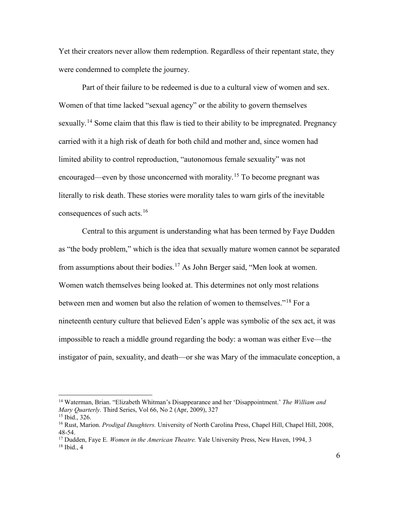Yet their creators never allow them redemption. Regardless of their repentant state, they were condemned to complete the journey.

Part of their failure to be redeemed is due to a cultural view of women and sex. Women of that time lacked "sexual agency" or the ability to govern themselves sexually.<sup>[14](#page-10-0)</sup> Some claim that this flaw is tied to their ability to be impregnated. Pregnancy carried with it a high risk of death for both child and mother and, since women had limited ability to control reproduction, "autonomous female sexuality" was not encouraged—even by those unconcerned with morality.<sup>[15](#page-10-1)</sup> To become pregnant was literally to risk death. These stories were morality tales to warn girls of the inevitable consequences of such acts. [16](#page-10-2)

Central to this argument is understanding what has been termed by Faye Dudden as "the body problem," which is the idea that sexually mature women cannot be separated from assumptions about their bodies.<sup>[17](#page-10-3)</sup> As John Berger said, "Men look at women. Women watch themselves being looked at. This determines not only most relations between men and women but also the relation of women to themselves."<sup>[18](#page-10-4)</sup> For a nineteenth century culture that believed Eden's apple was symbolic of the sex act, it was impossible to reach a middle ground regarding the body: a woman was either Eve—the instigator of pain, sexuality, and death—or she was Mary of the immaculate conception, a

<span id="page-10-0"></span><sup>14</sup> Waterman, Brian. "Elizabeth Whitman's Disappearance and her 'Disappointment.' *The William and Mary Quarterly.* Third Series, Vol 66, No 2 (Apr, 2009), 327

<sup>15</sup> Ibid., 326.

<span id="page-10-2"></span><span id="page-10-1"></span><sup>16</sup> Rust, Marion. *Prodigal Daughters.* University of North Carolina Press, Chapel Hill, Chapel Hill, 2008, 48-54.

<span id="page-10-4"></span><span id="page-10-3"></span><sup>17</sup> Dudden, Faye E*. Women in the American Theatre.* Yale University Press, New Haven, 1994, 3  $18$  Ibid., 4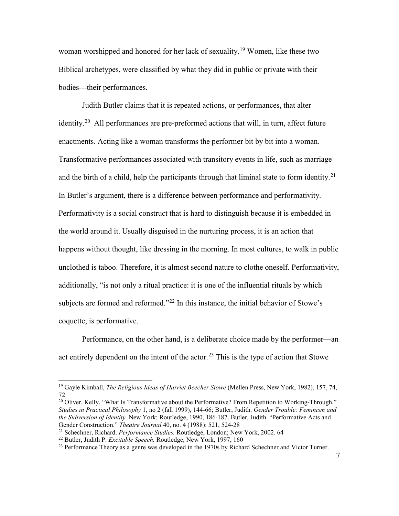woman worshipped and honored for her lack of sexuality.[19](#page-11-0) Women, like these two Biblical archetypes, were classified by what they did in public or private with their bodies---their performances.

Judith Butler claims that it is repeated actions, or performances, that alter identity.<sup>[20](#page-11-1)</sup> All performances are pre-preformed actions that will, in turn, affect future enactments. Acting like a woman transforms the performer bit by bit into a woman. Transformative performances associated with transitory events in life, such as marriage and the birth of a child, help the participants through that liminal state to form identity.<sup>21</sup> In Butler's argument, there is a difference between performance and performativity. Performativity is a social construct that is hard to distinguish because it is embedded in the world around it. Usually disguised in the nurturing process, it is an action that happens without thought, like dressing in the morning. In most cultures, to walk in public unclothed is taboo. Therefore, it is almost second nature to clothe oneself. Performativity, additionally, "is not only a ritual practice: it is one of the influential rituals by which subjects are formed and reformed."<sup>[22](#page-11-3)</sup> In this instance, the initial behavior of Stowe's coquette, is performative.

Performance, on the other hand, is a deliberate choice made by the performer—an act entirely dependent on the intent of the actor.<sup>[23](#page-11-4)</sup> This is the type of action that Stowe

<span id="page-11-1"></span><sup>20</sup> Oliver, Kelly. "What Is Transformative about the Performative? From Repetition to Working-Through." *Studies in Practical Philosophy* 1, no 2 (fall 1999), 144-66; Butler, Judith. *Gender Trouble: Feminism and the Subversion of Identity.* New York: Routledge, 1990, 186-187. Butler, Judith. "Performative Acts and Gender Construction." *Theatre Journal* 40, no. 4 (1988): 521, 524-28

<span id="page-11-0"></span><sup>19</sup> Gayle Kimball, *The Religious Ideas of Harriet Beecher Stowe* (Mellen Press, New York, 1982), 157, 74, 72

<span id="page-11-2"></span><sup>21</sup> Schechner, Richard. *Performance Studies.* Routledge, London; New York, 2002. 64

<span id="page-11-3"></span><sup>22</sup> Butler, Judith P. *Excitable Speech.* Routledge, New York, 1997, 160

<span id="page-11-4"></span><sup>&</sup>lt;sup>23</sup> Performance Theory as a genre was developed in the 1970s by Richard Schechner and Victor Turner.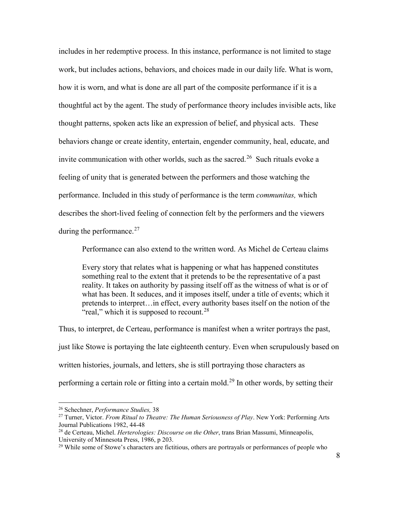includes in her redemptive process. In this instance, performance is not limited to stage work, but includes actions, behaviors, and choices made in our daily life. What is worn, how it is worn, and what is done are all part of the composite performance if it is a thoughtful act by the agent. The study of performance theory includes invisible acts, like thought patterns, spoken acts like an expression of belief, and physical acts. These behaviors change or create identity, entertain, engender community, heal, educate, and invite communication with other worlds, such as the sacred.[26](#page-43-0) Such rituals evoke a feeling of unity that is generated between the performers and those watching the performance. Included in this study of performance is the term *communitas,* which describes the short-lived feeling of connection felt by the performers and the viewers during the performance. $27$ 

Performance can also extend to the written word. As Michel de Certeau claims

Every story that relates what is happening or what has happened constitutes something real to the extent that it pretends to be the representative of a past reality. It takes on authority by passing itself off as the witness of what is or of what has been. It seduces, and it imposes itself, under a title of events; which it pretends to interpret…in effect, every authority bases itself on the notion of the "real," which it is supposed to recount.<sup>[28](#page-43-2)</sup>

Thus, to interpret, de Certeau, performance is manifest when a writer portrays the past, just like Stowe is portaying the late eighteenth century. Even when scrupulously based on written histories, journals, and letters, she is still portraying those characters as performing a certain role or fitting into a certain mold.<sup>[29](#page-43-3)</sup> In other words, by setting their

<sup>26</sup> Schechner, *Performance Studies,* <sup>38</sup>

<sup>27</sup> Turner, Victor. *From Ritual to Theatre: The Human Seriousness of Play*. New York: Performing Arts Journal Publications 1982, 44-48

<sup>28</sup> de Certeau, Michel. *Herterologies: Discourse on the Other*, trans Brian Massumi, Minneapolis, University of Minnesota Press, 1986, p 203.

<sup>&</sup>lt;sup>29</sup> While some of Stowe's characters are fictitious, others are portrayals or performances of people who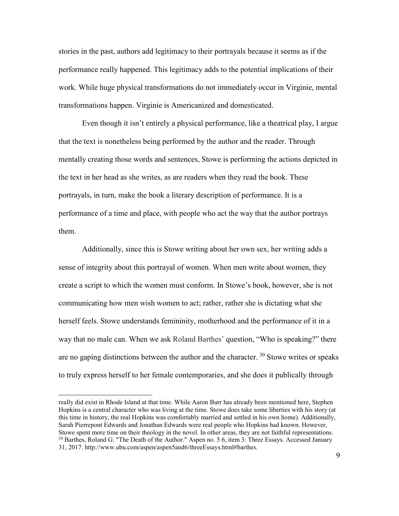stories in the past, authors add legitimacy to their portrayals because it seems as if the performance really happened. This legitimacy adds to the potential implications of their work. While huge physical transformations do not immediately occur in Virginie, mental transformations happen. Virginie is Americanized and domesticated.

Even though it isn't entirely a physical performance, like a theatrical play, I argue that the text is nonetheless being performed by the author and the reader. Through mentally creating those words and sentences, Stowe is performing the actions depicted in the text in her head as she writes, as are readers when they read the book. These portrayals, in turn, make the book a literary description of performance. It is a performance of a time and place, with people who act the way that the author portrays them.

Additionally, since this is Stowe writing about her own sex, her writing adds a sense of integrity about this portrayal of women. When men write about women, they create a script to which the women must conform. In Stowe's book, however, she is not communicating how men wish women to act; rather, rather she is dictating what she herself feels. Stowe understands femininity, motherhood and the performance of it in a way that no male can. When we ask Roland Barthes' question, "Who is speaking?" there are no gaping distinctions between the author and the character.  $30$  Stowe writes or speaks to truly express herself to her female contemporaries, and she does it publically through

really did exist in Rhode Island at that time. While Aaron Burr has already been mentioned here, Stephen Hopkins is a central character who was living at the time. Stowe does take some liberties with his story (at this time in history, the real Hopkins was comfortably married and settled in his own home). Additionally, Sarah Pierrepont Edwards and Jonathan Edwards were real people who Hopkins had known. However, Stowe spent more time on their theology in the novel. In other areas, they are not faithful representations. <sup>30</sup> Barthes, Roland G. "The Death of the Author." Aspen no. 5 6, item 3: Three Essays. Accessed January 31, 2017. http://www.ubu.com/aspen/aspen5and6/threeEssays.html#barthes.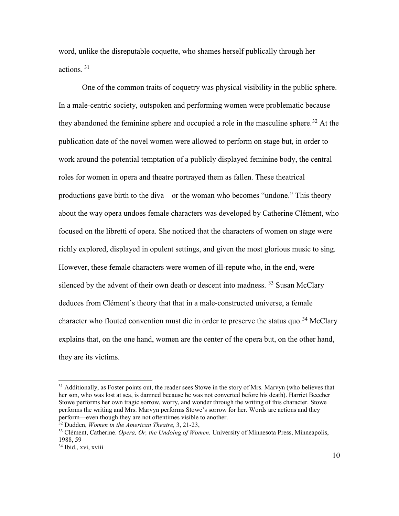word, unlike the disreputable coquette, who shames herself publically through her actions  $31$ 

One of the common traits of coquetry was physical visibility in the public sphere. In a male-centric society, outspoken and performing women were problematic because they abandoned the feminine sphere and occupied a role in the masculine sphere.<sup>[32](#page-43-6)</sup> At the publication date of the novel women were allowed to perform on stage but, in order to work around the potential temptation of a publicly displayed feminine body, the central roles for women in opera and theatre portrayed them as fallen. These theatrical productions gave birth to the diva—or the woman who becomes "undone." This theory about the way opera undoes female characters was developed by Catherine Clément, who focused on the libretti of opera. She noticed that the characters of women on stage were richly explored, displayed in opulent settings, and given the most glorious music to sing. However, these female characters were women of ill-repute who, in the end, were silenced by the advent of their own death or descent into madness.  $33$  Susan McClary deduces from Clément's theory that that in a male-constructed universe, a female character who flouted convention must die in order to preserve the status quo.<sup>[34](#page-43-3)</sup> McClary explains that, on the one hand, women are the center of the opera but, on the other hand, they are its victims.

<sup>&</sup>lt;sup>31</sup> Additionally, as Foster points out, the reader sees Stowe in the story of Mrs. Mary n (who believes that her son, who was lost at sea, is damned because he was not converted before his death). Harriet Beecher Stowe performs her own tragic sorrow, worry, and wonder through the writing of this character. Stowe performs the writing and Mrs. Marvyn performs Stowe's sorrow for her. Words are actions and they perform—even though they are not oftentimes visible to another.

<sup>32</sup> Dudden, *Women in the American Theatre,* 3, 21-23,

<sup>33</sup> Clément, Catherine. *Opera, Or, the Undoing of Women.* University of Minnesota Press, Minneapolis, 1988, 59

<sup>&</sup>lt;sup>34</sup> Ibid., xvi, xviii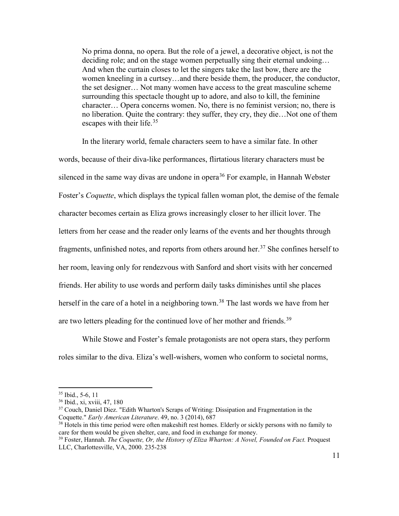No prima donna, no opera. But the role of a jewel, a decorative object, is not the deciding role; and on the stage women perpetually sing their eternal undoing… And when the curtain closes to let the singers take the last bow, there are the women kneeling in a curtsey…and there beside them, the producer, the conductor, the set designer… Not many women have access to the great masculine scheme surrounding this spectacle thought up to adore, and also to kill, the feminine character… Opera concerns women. No, there is no feminist version; no, there is no liberation. Quite the contrary: they suffer, they cry, they die…Not one of them escapes with their life.<sup>[35](#page-43-7)</sup>

In the literary world, female characters seem to have a similar fate. In other words, because of their diva-like performances, flirtatious literary characters must be silenced in the same way divas are undone in opera<sup>[36](#page-43-8)</sup> For example, in Hannah Webster Foster's *Coquette*, which displays the typical fallen woman plot, the demise of the female character becomes certain as Eliza grows increasingly closer to her illicit lover. The letters from her cease and the reader only learns of the events and her thoughts through fragments, unfinished notes, and reports from others around her.<sup>[37](#page-43-0)</sup> She confines herself to her room, leaving only for rendezvous with Sanford and short visits with her concerned friends. Her ability to use words and perform daily tasks diminishes until she places herself in the care of a hotel in a neighboring town.<sup>[38](#page-43-6)</sup> The last words we have from her are two letters pleading for the continued love of her mother and friends.<sup>[39](#page-43-4)</sup>

While Stowe and Foster's female protagonists are not opera stars, they perform roles similar to the diva. Eliza's well-wishers, women who conform to societal norms,

 $\frac{35}{36}$  Ibid., 5-6, 11<br> $\frac{36}{36}$  Ibid., xi, xviii, 47, 180

<sup>&</sup>lt;sup>37</sup> Couch, Daniel Diez. "Edith Wharton's Scraps of Writing: Dissipation and Fragmentation in the Coquette." *Early American Literature*. 49, no. 3 (2014), 687

<sup>&</sup>lt;sup>38</sup> Hotels in this time period were often makeshift rest homes. Elderly or sickly persons with no family to care for them would be given shelter, care, and food in exchange for money.

<sup>39</sup> Foster, Hannah. *The Coquette, Or, the History of Eliza Wharton: A Novel, Founded on Fact.* Proquest LLC, Charlottesville, VA, 2000. 235-238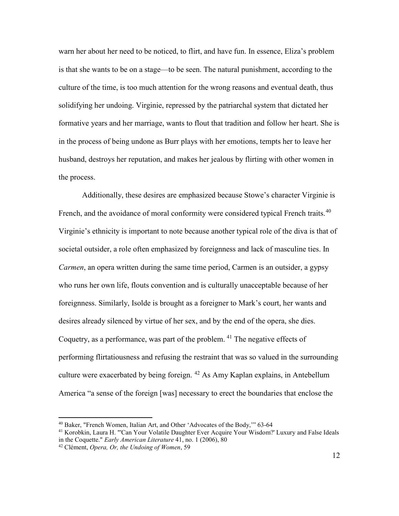warn her about her need to be noticed, to flirt, and have fun. In essence, Eliza's problem is that she wants to be on a stage—to be seen. The natural punishment, according to the culture of the time, is too much attention for the wrong reasons and eventual death, thus solidifying her undoing. Virginie, repressed by the patriarchal system that dictated her formative years and her marriage, wants to flout that tradition and follow her heart. She is in the process of being undone as Burr plays with her emotions, tempts her to leave her husband, destroys her reputation, and makes her jealous by flirting with other women in the process.

Additionally, these desires are emphasized because Stowe's character Virginie is French, and the avoidance of moral conformity were considered typical French traits.<sup>[40](#page-43-6)</sup> Virginie's ethnicity is important to note because another typical role of the diva is that of societal outsider, a role often emphasized by foreignness and lack of masculine ties. In *Carmen*, an opera written during the same time period, Carmen is an outsider, a gypsy who runs her own life, flouts convention and is culturally unacceptable because of her foreignness. Similarly, Isolde is brought as a foreigner to Mark's court, her wants and desires already silenced by virtue of her sex, and by the end of the opera, she dies. Coquetry, as a performance, was part of the problem. <sup>[41](#page-43-2)</sup> The negative effects of performing flirtatiousness and refusing the restraint that was so valued in the surrounding culture were exacerbated by being foreign. [42](#page-43-3) As Amy Kaplan explains, in Antebellum America "a sense of the foreign [was] necessary to erect the boundaries that enclose the

<sup>40</sup> Baker, "French Women, Italian Art, and Other 'Advocates of the Body,'" 63-64

<sup>&</sup>lt;sup>41</sup> Korobkin, Laura H. "'Can Your Volatile Daughter Ever Acquire Your Wisdom?' Luxury and False Ideals in the Coquette." *Early American Literature* 41, no. 1 (2006), 80

<sup>42</sup> Clément, *Opera, Or, the Undoing of Women*, 59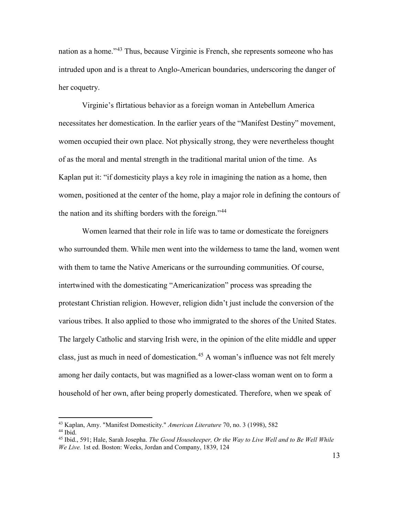nation as a home.<sup>3[43](#page-43-6)</sup> Thus, because Virginie is French, she represents someone who has intruded upon and is a threat to Anglo-American boundaries, underscoring the danger of her coquetry.

Virginie's flirtatious behavior as a foreign woman in Antebellum America necessitates her domestication. In the earlier years of the "Manifest Destiny" movement, women occupied their own place. Not physically strong, they were nevertheless thought of as the moral and mental strength in the traditional marital union of the time. As Kaplan put it: "if domesticity plays a key role in imagining the nation as a home, then women, positioned at the center of the home, play a major role in defining the contours of the nation and its shifting borders with the foreign."<sup>[44](#page-43-2)</sup>

Women learned that their role in life was to tame or domesticate the foreigners who surrounded them. While men went into the wilderness to tame the land, women went with them to tame the Native Americans or the surrounding communities. Of course, intertwined with the domesticating "Americanization" process was spreading the protestant Christian religion. However, religion didn't just include the conversion of the various tribes. It also applied to those who immigrated to the shores of the United States. The largely Catholic and starving Irish were, in the opinion of the elite middle and upper class, just as much in need of domestication.<sup>[45](#page-43-4)</sup> A woman's influence was not felt merely among her daily contacts, but was magnified as a lower-class woman went on to form a household of her own, after being properly domesticated. Therefore, when we speak of

<sup>43</sup> Kaplan, Amy. "Manifest Domesticity." *American Literature* 70, no. 3 (1998), 582

 $44$  Ibid.

<sup>45</sup> Ibid., 591; Hale, Sarah Josepha. *The Good Housekeeper, Or the Way to Live Well and to Be Well While We Live.* 1st ed. Boston: Weeks, Jordan and Company, 1839, 124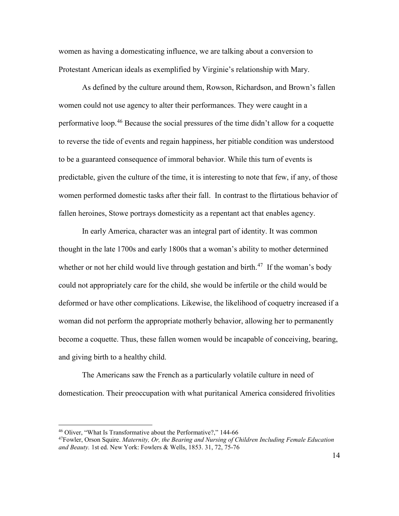women as having a domesticating influence, we are talking about a conversion to Protestant American ideals as exemplified by Virginie's relationship with Mary.

As defined by the culture around them, Rowson, Richardson, and Brown's fallen women could not use agency to alter their performances. They were caught in a performative loop.[46](#page-43-2) Because the social pressures of the time didn't allow for a coquette to reverse the tide of events and regain happiness, her pitiable condition was understood to be a guaranteed consequence of immoral behavior. While this turn of events is predictable, given the culture of the time, it is interesting to note that few, if any, of those women performed domestic tasks after their fall. In contrast to the flirtatious behavior of fallen heroines, Stowe portrays domesticity as a repentant act that enables agency.

In early America, character was an integral part of identity. It was common thought in the late 1700s and early 1800s that a woman's ability to mother determined whether or not her child would live through gestation and birth.<sup>[47](#page-43-4)</sup> If the woman's body could not appropriately care for the child, she would be infertile or the child would be deformed or have other complications. Likewise, the likelihood of coquetry increased if a woman did not perform the appropriate motherly behavior, allowing her to permanently become a coquette. Thus, these fallen women would be incapable of conceiving, bearing, and giving birth to a healthy child.

The Americans saw the French as a particularly volatile culture in need of domestication. Their preoccupation with what puritanical America considered frivolities

<sup>46</sup> Oliver, "What Is Transformative about the Performative?," 144-66

<sup>47</sup>Fowler, Orson Squire. *Maternity, Or, the Bearing and Nursing of Children Including Female Education and Beauty.* 1st ed. New York: Fowlers & Wells, 1853. 31, 72, 75-76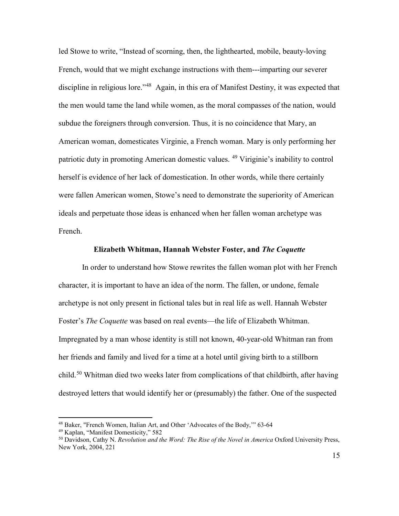led Stowe to write, "Instead of scorning, then, the lighthearted, mobile, beauty-loving French, would that we might exchange instructions with them---imparting our severer discipline in religious lore.<sup>148</sup> Again, in this era of Manifest Destiny, it was expected that the men would tame the land while women, as the moral compasses of the nation, would subdue the foreigners through conversion. Thus, it is no coincidence that Mary, an American woman, domesticates Virginie, a French woman. Mary is only performing her patriotic duty in promoting American domestic values. [49](#page-43-2) Viriginie's inability to control herself is evidence of her lack of domestication. In other words, while there certainly were fallen American women, Stowe's need to demonstrate the superiority of American ideals and perpetuate those ideas is enhanced when her fallen woman archetype was French.

#### **Elizabeth Whitman, Hannah Webster Foster, and** *The Coquette*

<span id="page-19-0"></span>In order to understand how Stowe rewrites the fallen woman plot with her French character, it is important to have an idea of the norm. The fallen, or undone, female archetype is not only present in fictional tales but in real life as well. Hannah Webster Foster's *The Coquette* was based on real events—the life of Elizabeth Whitman. Impregnated by a man whose identity is still not known, 40-year-old Whitman ran from her friends and family and lived for a time at a hotel until giving birth to a stillborn child. [50](#page-43-4) Whitman died two weeks later from complications of that childbirth, after having destroyed letters that would identify her or (presumably) the father. One of the suspected

<sup>48</sup> Baker, "French Women, Italian Art, and Other 'Advocates of the Body,'" 63-64

<sup>49</sup> Kaplan, "Manifest Domesticity," 582

<sup>50</sup> Davidson, Cathy N. *Revolution and the Word: The Rise of the Novel in America* Oxford University Press, New York, 2004, 221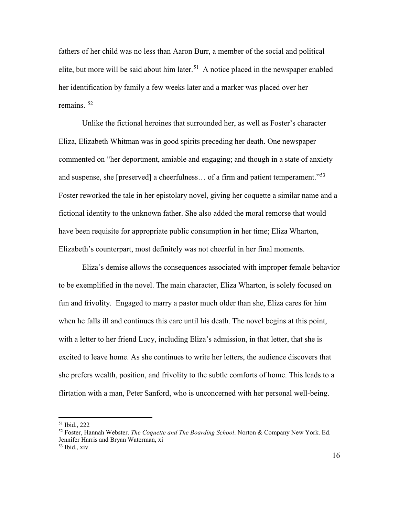fathers of her child was no less than Aaron Burr, a member of the social and political elite, but more will be said about him later.<sup>[51](#page-43-6)</sup> A notice placed in the newspaper enabled her identification by family a few weeks later and a marker was placed over her remains. [52](#page-43-2)

Unlike the fictional heroines that surrounded her, as well as Foster's character Eliza, Elizabeth Whitman was in good spirits preceding her death. One newspaper commented on "her deportment, amiable and engaging; and though in a state of anxiety and suspense, she [preserved] a cheerfulness... of a firm and patient temperament."<sup>[53](#page-43-3)</sup> Foster reworked the tale in her epistolary novel, giving her coquette a similar name and a fictional identity to the unknown father. She also added the moral remorse that would have been requisite for appropriate public consumption in her time; Eliza Wharton, Elizabeth's counterpart, most definitely was not cheerful in her final moments.

Eliza's demise allows the consequences associated with improper female behavior to be exemplified in the novel. The main character, Eliza Wharton, is solely focused on fun and frivolity. Engaged to marry a pastor much older than she, Eliza cares for him when he falls ill and continues this care until his death. The novel begins at this point, with a letter to her friend Lucy, including Eliza's admission, in that letter, that she is excited to leave home. As she continues to write her letters, the audience discovers that she prefers wealth, position, and frivolity to the subtle comforts of home. This leads to a flirtation with a man, Peter Sanford, who is unconcerned with her personal well-being.

<sup>51</sup> Ibid., 222

<sup>52</sup> Foster, Hannah Webster. *The Coquette and The Boarding School*. Norton & Company New York. Ed. Jennifer Harris and Bryan Waterman, xi

 $53$  Ibid., xiv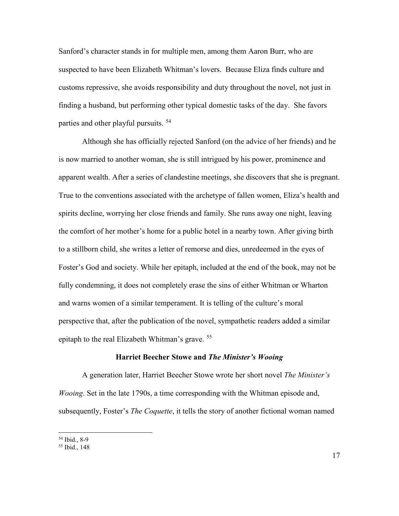Sanford's character stands in for multiple men, among them Aaron Burr, who are suspected to have been Elizabeth Whitman's lovers. Because Eliza finds culture and customs repressive, she avoids responsibility and duty throughout the novel, not just in finding a husband, but performing other typical domestic tasks of the day. She favors parties and other playful pursuits.<sup>[54](#page-43-4)</sup>

Although she has officially rejected Sanford (on the advice of her friends) and he is now married to another woman, she is still intrigued by his power, prominence and apparent wealth. After a series of clandestine meetings, she discovers that she is pregnant. True to the conventions associated with the archetype of fallen women, Eliza's health and spirits decline, worrying her close friends and family. She runs away one night, leaving the comfort of her mother's home for a public hotel in a nearby town. After giving birth to a stillborn child, she writes a letter of remorse and dies, unredeemed in the eyes of Foster's God and society. While her epitaph, included at the end of the book, may not be fully condemning, it does not completely erase the sins of either Whitman or Wharton and warns women of a similar temperament. It is telling of the culture's moral perspective that, after the publication of the novel, sympathetic readers added a similar epitaph to the real Elizabeth Whitman's grave. [55](#page-43-3)

#### **Harriet Beecher Stowe and** *The Minister's Wooing*

<span id="page-21-0"></span>A generation later, Harriet Beecher Stowe wrote her short novel *The Minister's Wooing*. Set in the late 1790s, a time corresponding with the Whitman episode and, subsequently, Foster's *The Coquette*, it tells the story of another fictional woman named

<sup>54</sup> Ibid., 8-9

<sup>55</sup> Ibid., 148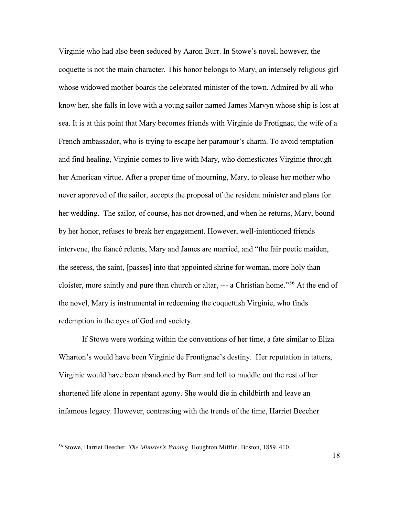Virginie who had also been seduced by Aaron Burr. In Stowe's novel, however, the coquette is not the main character. This honor belongs to Mary, an intensely religious girl whose widowed mother boards the celebrated minister of the town. Admired by all who know her, she falls in love with a young sailor named James Marvyn whose ship is lost at sea. It is at this point that Mary becomes friends with Virginie de Frotignac, the wife of a French ambassador, who is trying to escape her paramour's charm. To avoid temptation and find healing, Virginie comes to live with Mary, who domesticates Virginie through her American virtue. After a proper time of mourning, Mary, to please her mother who never approved of the sailor, accepts the proposal of the resident minister and plans for her wedding. The sailor, of course, has not drowned, and when he returns, Mary, bound by her honor, refuses to break her engagement. However, well-intentioned friends intervene, the fiancé relents, Mary and James are married, and "the fair poetic maiden, the seeress, the saint, [passes] into that appointed shrine for woman, more holy than cloister, more saintly and pure than church or altar, --- a Christian home."[56](#page-43-3) At the end of the novel, Mary is instrumental in redeeming the coquettish Virginie, who finds redemption in the eyes of God and society.

If Stowe were working within the conventions of her time, a fate similar to Eliza Wharton's would have been Virginie de Frontignac's destiny. Her reputation in tatters, Virginie would have been abandoned by Burr and left to muddle out the rest of her shortened life alone in repentant agony. She would die in childbirth and leave an infamous legacy. However, contrasting with the trends of the time, Harriet Beecher

<sup>56</sup> Stowe, Harriet Beecher. *The Minister's Wooing.* Houghton Mifflin, Boston, 1859. 410.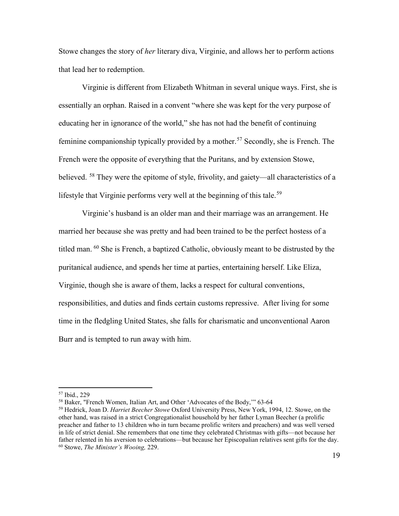Stowe changes the story of *her* literary diva, Virginie, and allows her to perform actions that lead her to redemption.

Virginie is different from Elizabeth Whitman in several unique ways. First, she is essentially an orphan. Raised in a convent "where she was kept for the very purpose of educating her in ignorance of the world," she has not had the benefit of continuing feminine companionship typically provided by a mother. [57](#page-43-7) Secondly, she is French. The French were the opposite of everything that the Puritans, and by extension Stowe, believed. <sup>[58](#page-43-8)</sup> They were the epitome of style, frivolity, and gaiety—all characteristics of a lifestyle that Virginie performs very well at the beginning of this tale.<sup>[59](#page-43-0)</sup>

Virginie's husband is an older man and their marriage was an arrangement. He married her because she was pretty and had been trained to be the perfect hostess of a titled man. [60](#page-43-3) She is French, a baptized Catholic, obviously meant to be distrusted by the puritanical audience, and spends her time at parties, entertaining herself. Like Eliza, Virginie, though she is aware of them, lacks a respect for cultural conventions, responsibilities, and duties and finds certain customs repressive. After living for some time in the fledgling United States, she falls for charismatic and unconventional Aaron Burr and is tempted to run away with him.

<sup>57</sup> Ibid., 229

<sup>&</sup>lt;sup>58</sup> Baker, "French Women, Italian Art, and Other 'Advocates of the Body," 63-64

<sup>59</sup> Hedrick, Joan D. *Harriet Beecher Stowe* Oxford University Press, New York, 1994, 12. Stowe, on the other hand, was raised in a strict Congregationalist household by her father Lyman Beecher (a prolific preacher and father to 13 children who in turn became prolific writers and preachers) and was well versed in life of strict denial. She remembers that one time they celebrated Christmas with gifts—not because her father relented in his aversion to celebrations—but because her Episcopalian relatives sent gifts for the day. <sup>60</sup> Stowe, *The Minister's Wooing,* 229.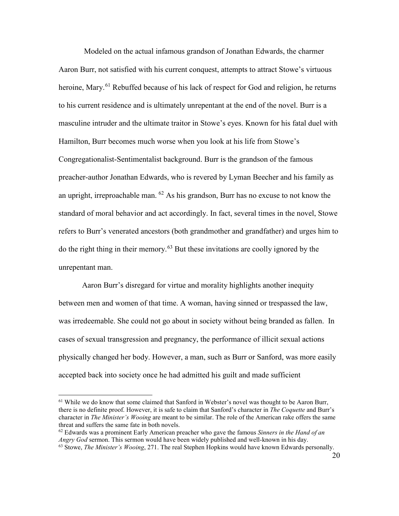Modeled on the actual infamous grandson of Jonathan Edwards, the charmer Aaron Burr, not satisfied with his current conquest, attempts to attract Stowe's virtuous heroine, Mary.<sup>[61](#page-43-8)</sup> Rebuffed because of his lack of respect for God and religion, he returns to his current residence and is ultimately unrepentant at the end of the novel. Burr is a masculine intruder and the ultimate traitor in Stowe's eyes. Known for his fatal duel with Hamilton, Burr becomes much worse when you look at his life from Stowe's Congregationalist-Sentimentalist background. Burr is the grandson of the famous preacher-author Jonathan Edwards, who is revered by Lyman Beecher and his family as an upright, irreproachable man.  $^{62}$  $^{62}$  $^{62}$  As his grandson, Burr has no excuse to not know the standard of moral behavior and act accordingly. In fact, several times in the novel, Stowe refers to Burr's venerated ancestors (both grandmother and grandfather) and urges him to do the right thing in their memory.[63](#page-43-3) But these invitations are coolly ignored by the unrepentant man.

Aaron Burr's disregard for virtue and morality highlights another inequity between men and women of that time. A woman, having sinned or trespassed the law, was irredeemable. She could not go about in society without being branded as fallen. In cases of sexual transgression and pregnancy, the performance of illicit sexual actions physically changed her body. However, a man, such as Burr or Sanford, was more easily accepted back into society once he had admitted his guilt and made sufficient

<sup>&</sup>lt;sup>61</sup> While we do know that some claimed that Sanford in Webster's novel was thought to be Aaron Burr, there is no definite proof. However, it is safe to claim that Sanford's character in *The Coquette* and Burr's character in *The Minister's Wooing* are meant to be similar. The role of the American rake offers the same threat and suffers the same fate in both novels.

 $62$  Edwards was a prominent Early American preacher who gave the famous *Sinners in the Hand of an Angry God* sermon. This sermon would have been widely published and well-known in his day. <sup>63</sup> Stowe, *The Minister's Wooing*, 271. The real Stephen Hopkins would have known Edwards personally.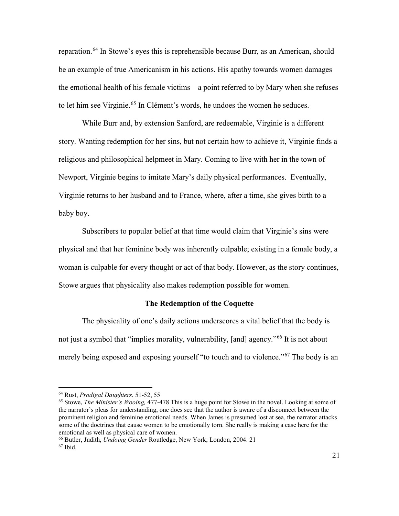reparation.<sup>[64](#page-43-7)</sup> In Stowe's eyes this is reprehensible because Burr, as an American, should be an example of true Americanism in his actions. His apathy towards women damages the emotional health of his female victims—a point referred to by Mary when she refuses to let him see Virginie.<sup>[65](#page-43-8)</sup> In Clément's words, he undoes the women he seduces.

While Burr and, by extension Sanford, are redeemable, Virginie is a different story. Wanting redemption for her sins, but not certain how to achieve it, Virginie finds a religious and philosophical helpmeet in Mary. Coming to live with her in the town of Newport, Virginie begins to imitate Mary's daily physical performances. Eventually, Virginie returns to her husband and to France, where, after a time, she gives birth to a baby boy.

Subscribers to popular belief at that time would claim that Virginie's sins were physical and that her feminine body was inherently culpable; existing in a female body, a woman is culpable for every thought or act of that body. However, as the story continues, Stowe argues that physicality also makes redemption possible for women.

#### **The Redemption of the Coquette**

<span id="page-25-0"></span>The physicality of one's daily actions underscores a vital belief that the body is not just a symbol that "implies morality, vulnerability, [and] agency."<sup>[66](#page-43-4)</sup> It is not about merely being exposed and exposing yourself "to touch and to violence."<sup>[67](#page-43-3)</sup> The body is an

<sup>64</sup> Rust, *Prodigal Daughters*, 51-52, 55

<sup>65</sup> Stowe, *The Minister's Wooing,* 477-478 This is a huge point for Stowe in the novel. Looking at some of the narrator's pleas for understanding, one does see that the author is aware of a disconnect between the prominent religion and feminine emotional needs. When James is presumed lost at sea, the narrator attacks some of the doctrines that cause women to be emotionally torn. She really is making a case here for the emotional as well as physical care of women.

<sup>66</sup> Butler, Judith, *Undoing Gender* Routledge, New York; London, 2004. 21 67 Ibid.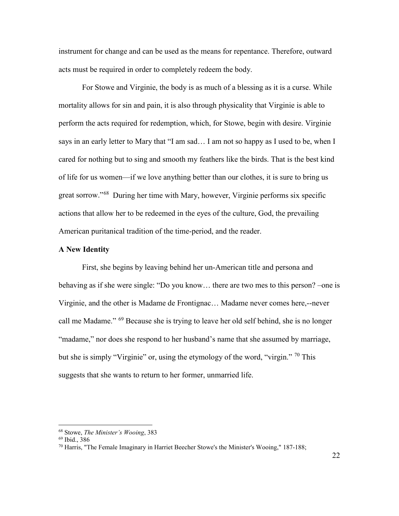instrument for change and can be used as the means for repentance. Therefore, outward acts must be required in order to completely redeem the body.

For Stowe and Virginie, the body is as much of a blessing as it is a curse. While mortality allows for sin and pain, it is also through physicality that Virginie is able to perform the acts required for redemption, which, for Stowe, begin with desire. Virginie says in an early letter to Mary that "I am sad… I am not so happy as I used to be, when I cared for nothing but to sing and smooth my feathers like the birds. That is the best kind of life for us women—if we love anything better than our clothes, it is sure to bring us great sorrow."[68](#page-43-2) During her time with Mary, however, Virginie performs six specific actions that allow her to be redeemed in the eyes of the culture, God, the prevailing American puritanical tradition of the time-period, and the reader.

#### <span id="page-26-0"></span>**A New Identity**

First, she begins by leaving behind her un-American title and persona and behaving as if she were single: "Do you know… there are two mes to this person? –one is Virginie, and the other is Madame de Frontignac… Madame never comes here,--never call me Madame." [69](#page-43-4) Because she is trying to leave her old self behind, she is no longer "madame," nor does she respond to her husband's name that she assumed by marriage, but she is simply "Virginie" or, using the etymology of the word, "virgin." <sup>[70](#page-43-3)</sup> This suggests that she wants to return to her former, unmarried life.

<sup>68</sup> Stowe, *The Minister's Wooing*, 383

<sup>69</sup> Ibid., 386

 $70$  Harris, "The Female Imaginary in Harriet Beecher Stowe's the Minister's Wooing," 187-188;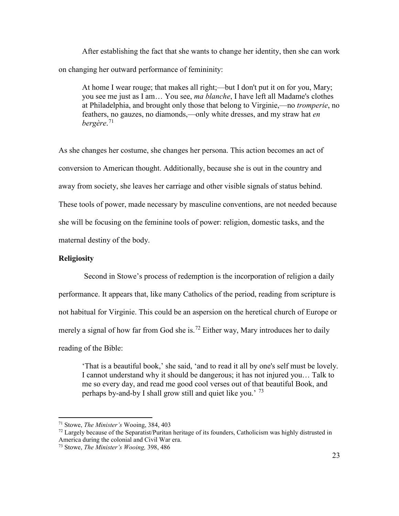After establishing the fact that she wants to change her identity, then she can work on changing her outward performance of femininity:

At home I wear rouge; that makes all right;—but I don't put it on for you, Mary; you see me just as I am… You see, *ma blanche*, I have left all Madame's clothes at Philadelphia, and brought only those that belong to Virginie,—no *tromperie*, no feathers, no gauzes, no diamonds,—only white dresses, and my straw hat *en bergère*. [71](#page-43-6)

As she changes her costume, she changes her persona. This action becomes an act of conversion to American thought. Additionally, because she is out in the country and away from society, she leaves her carriage and other visible signals of status behind. These tools of power, made necessary by masculine conventions, are not needed because she will be focusing on the feminine tools of power: religion, domestic tasks, and the maternal destiny of the body.

# <span id="page-27-0"></span>**Religiosity**

Second in Stowe's process of redemption is the incorporation of religion a daily performance. It appears that, like many Catholics of the period, reading from scripture is not habitual for Virginie. This could be an aspersion on the heretical church of Europe or merely a signal of how far from God she is.<sup>[72](#page-43-2)</sup> Either way, Mary introduces her to daily reading of the Bible:

'That is a beautiful book,' she said, 'and to read it all by one's self must be lovely. I cannot understand why it should be dangerous; it has not injured you… Talk to me so every day, and read me good cool verses out of that beautiful Book, and perhaps by-and-by I shall grow still and quiet like you.<sup> $73$ </sup>

<sup>71</sup> Stowe, *The Minister's* Wooing, 384, 403

 $72$  Largely because of the Separatist/Puritan heritage of its founders, Catholicism was highly distrusted in America during the colonial and Civil War era.

<sup>73</sup> Stowe, *The Minister's Wooing,* 398, 486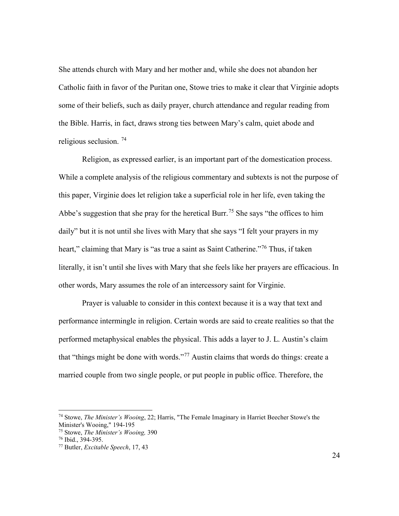She attends church with Mary and her mother and, while she does not abandon her Catholic faith in favor of the Puritan one, Stowe tries to make it clear that Virginie adopts some of their beliefs, such as daily prayer, church attendance and regular reading from the Bible. Harris, in fact, draws strong ties between Mary's calm, quiet abode and religious seclusion. [74](#page-43-1)

Religion, as expressed earlier, is an important part of the domestication process. While a complete analysis of the religious commentary and subtexts is not the purpose of this paper, Virginie does let religion take a superficial role in her life, even taking the Abbe's suggestion that she pray for the heretical Burr.<sup>[75](#page-43-2)</sup> She says "the offices to him daily" but it is not until she lives with Mary that she says "I felt your prayers in my heart," claiming that Mary is "as true a saint as Saint Catherine."<sup>[76](#page-43-4)</sup> Thus, if taken literally, it isn't until she lives with Mary that she feels like her prayers are efficacious. In other words, Mary assumes the role of an intercessory saint for Virginie.

Prayer is valuable to consider in this context because it is a way that text and performance intermingle in religion. Certain words are said to create realities so that the performed metaphysical enables the physical. This adds a layer to J. L. Austin's claim that "things might be done with words."[77](#page-43-3) Austin claims that words do things: create a married couple from two single people, or put people in public office. Therefore, the

<sup>74</sup> Stowe, *The Minister's Wooing*, 22; Harris, "The Female Imaginary in Harriet Beecher Stowe's the Minister's Wooing," 194-195<br><sup>75</sup> Stowe. The Minister's Wooing. 390

<sup>75</sup> Stowe, *The Minister's Wooing,* 390 76 Ibid., 394-395. 77 Butler, *Excitable Speech*, 17, 43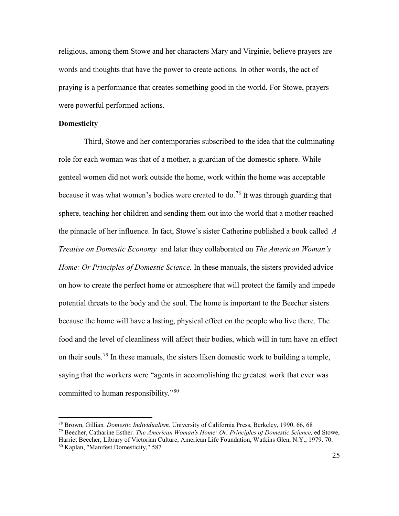religious, among them Stowe and her characters Mary and Virginie, believe prayers are words and thoughts that have the power to create actions. In other words, the act of praying is a performance that creates something good in the world. For Stowe, prayers were powerful performed actions.

#### <span id="page-29-0"></span>**Domesticity**

Third, Stowe and her contemporaries subscribed to the idea that the culminating role for each woman was that of a mother, a guardian of the domestic sphere. While genteel women did not work outside the home, work within the home was acceptable because it was what women's bodies were created to do.<sup>[78](#page-43-6)</sup> It was through guarding that sphere, teaching her children and sending them out into the world that a mother reached the pinnacle of her influence. In fact, Stowe's sister Catherine published a book called *A Treatise on Domestic Economy* and later they collaborated on *The American Woman's Home: Or Principles of Domestic Science.* In these manuals, the sisters provided advice on how to create the perfect home or atmosphere that will protect the family and impede potential threats to the body and the soul. The home is important to the Beecher sisters because the home will have a lasting, physical effect on the people who live there. The food and the level of cleanliness will affect their bodies, which will in turn have an effect on their souls.<sup>[79](#page-43-2)</sup> In these manuals, the sisters liken domestic work to building a temple, saying that the workers were "agents in accomplishing the greatest work that ever was committed to human responsibility."[80](#page-43-3)

<sup>78</sup> Brown, Gillian*. Domestic Individualism.* University of California Press, Berkeley, 1990. 66, 68

<sup>79</sup> Beecher, Catharine Esther*. The American Woman's Home: Or, Principles of Domestic Science,* ed Stowe, Harriet Beecher, Library of Victorian Culture, American Life Foundation, Watkins Glen, N.Y., 1979. 70.

<sup>80</sup> Kaplan, "Manifest Domesticity," 587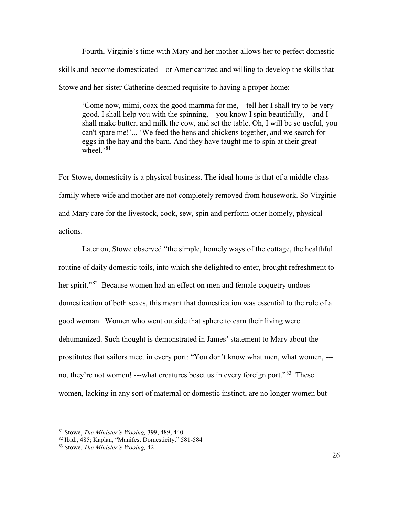Fourth, Virginie's time with Mary and her mother allows her to perfect domestic skills and become domesticated—or Americanized and willing to develop the skills that Stowe and her sister Catherine deemed requisite to having a proper home:

'Come now, mimi, coax the good mamma for me,—tell her I shall try to be very good. I shall help you with the spinning,—you know I spin beautifully,—and I shall make butter, and milk the cow, and set the table. Oh, I will be so useful, you can't spare me!'... 'We feed the hens and chickens together, and we search for eggs in the hay and the barn. And they have taught me to spin at their great wheel. $\frac{81}{10}$  $\frac{81}{10}$  $\frac{81}{10}$ 

For Stowe, domesticity is a physical business. The ideal home is that of a middle-class family where wife and mother are not completely removed from housework. So Virginie and Mary care for the livestock, cook, sew, spin and perform other homely, physical actions.

Later on, Stowe observed "the simple, homely ways of the cottage, the healthful routine of daily domestic toils, into which she delighted to enter, brought refreshment to her spirit."<sup>[82](#page-43-4)</sup> Because women had an effect on men and female coquetry undoes domestication of both sexes, this meant that domestication was essential to the role of a good woman. Women who went outside that sphere to earn their living were dehumanized. Such thought is demonstrated in James' statement to Mary about the prostitutes that sailors meet in every port: "You don't know what men, what women, -- no, they're not women! ---what creatures beset us in every foreign port."[83](#page-43-3) These women, lacking in any sort of maternal or domestic instinct, are no longer women but

<sup>81</sup> Stowe, *The Minister's Wooing,* 399, 489, 440

<sup>82</sup> Ibid., 485; Kaplan, "Manifest Domesticity," 581-584

<sup>83</sup> Stowe, *The Minister's Wooing,* 42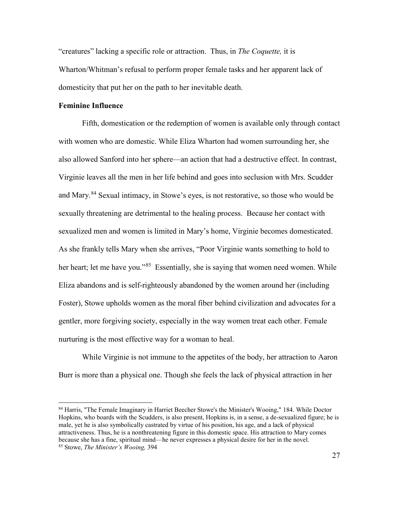"creatures" lacking a specific role or attraction. Thus, in *The Coquette,* it is Wharton/Whitman's refusal to perform proper female tasks and her apparent lack of domesticity that put her on the path to her inevitable death.

#### <span id="page-31-0"></span>**Feminine Influence**

Fifth, domestication or the redemption of women is available only through contact with women who are domestic. While Eliza Wharton had women surrounding her, she also allowed Sanford into her sphere—an action that had a destructive effect. In contrast, Virginie leaves all the men in her life behind and goes into seclusion with Mrs. Scudder and Mary. [84](#page-43-0) Sexual intimacy, in Stowe's eyes, is not restorative, so those who would be sexually threatening are detrimental to the healing process. Because her contact with sexualized men and women is limited in Mary's home, Virginie becomes domesticated. As she frankly tells Mary when she arrives, "Poor Virginie wants something to hold to her heart; let me have you."<sup>[85](#page-43-3)</sup> Essentially, she is saying that women need women. While Eliza abandons and is self-righteously abandoned by the women around her (including Foster), Stowe upholds women as the moral fiber behind civilization and advocates for a gentler, more forgiving society, especially in the way women treat each other. Female nurturing is the most effective way for a woman to heal.

While Virginie is not immune to the appetites of the body, her attraction to Aaron Burr is more than a physical one. Though she feels the lack of physical attraction in her

<sup>84</sup> Harris, "The Female Imaginary in Harriet Beecher Stowe's the Minister's Wooing," 184. While Doctor Hopkins, who boards with the Scudders, is also present, Hopkins is, in a sense, a de-sexualized figure; he is male, yet he is also symbolically castrated by virtue of his position, his age, and a lack of physical attractiveness. Thus, he is a nonthreatening figure in this domestic space. His attraction to Mary comes because she has a fine, spiritual mind—he never expresses a physical desire for her in the novel. 85 Stowe, *The Minister's Wooing,* <sup>394</sup>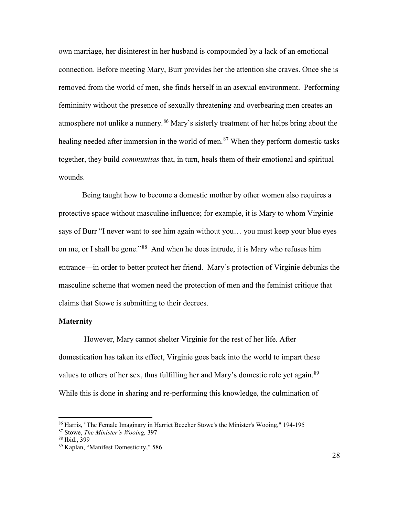own marriage, her disinterest in her husband is compounded by a lack of an emotional connection. Before meeting Mary, Burr provides her the attention she craves. Once she is removed from the world of men, she finds herself in an asexual environment. Performing femininity without the presence of sexually threatening and overbearing men creates an atmosphere not unlike a nunnery.<sup>[86](#page-43-6)</sup> Mary's sisterly treatment of her helps bring about the healing needed after immersion in the world of men.<sup>[87](#page-43-2)</sup> When they perform domestic tasks together, they build *communitas* that, in turn, heals them of their emotional and spiritual wounds.

Being taught how to become a domestic mother by other women also requires a protective space without masculine influence; for example, it is Mary to whom Virginie says of Burr "I never want to see him again without you… you must keep your blue eyes on me, or I shall be gone."[88](#page-43-4) And when he does intrude, it is Mary who refuses him entrance—in order to better protect her friend. Mary's protection of Virginie debunks the masculine scheme that women need the protection of men and the feminist critique that claims that Stowe is submitting to their decrees.

#### <span id="page-32-0"></span>**Maternity**

However, Mary cannot shelter Virginie for the rest of her life. After domestication has taken its effect, Virginie goes back into the world to impart these values to others of her sex, thus fulfilling her and Mary's domestic role yet again.<sup>[89](#page-43-3)</sup> While this is done in sharing and re-performing this knowledge, the culmination of

<sup>86</sup> Harris, "The Female Imaginary in Harriet Beecher Stowe's the Minister's Wooing," 194-195

<sup>87</sup> Stowe, *The Minister's Wooing,* 397

<sup>88</sup> Ibid., 399

<sup>89</sup> Kaplan, "Manifest Domesticity," 586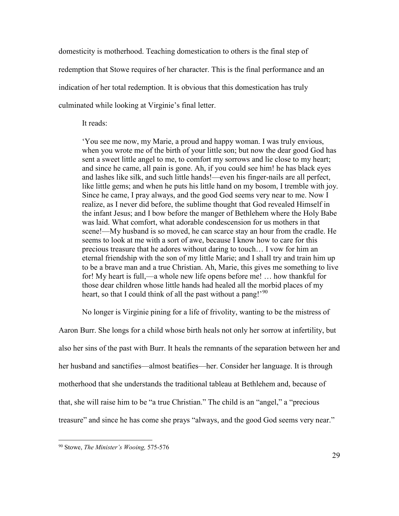domesticity is motherhood. Teaching domestication to others is the final step of redemption that Stowe requires of her character. This is the final performance and an indication of her total redemption. It is obvious that this domestication has truly culminated while looking at Virginie's final letter.

It reads:

'You see me now, my Marie, a proud and happy woman. I was truly envious, when you wrote me of the birth of your little son; but now the dear good God has sent a sweet little angel to me, to comfort my sorrows and lie close to my heart; and since he came, all pain is gone. Ah, if you could see him! he has black eyes and lashes like silk, and such little hands!—even his finger-nails are all perfect, like little gems; and when he puts his little hand on my bosom, I tremble with joy. Since he came, I pray always, and the good God seems very near to me. Now I realize, as I never did before, the sublime thought that God revealed Himself in the infant Jesus; and I bow before the manger of Bethlehem where the Holy Babe was laid. What comfort, what adorable condescension for us mothers in that scene!—My husband is so moved, he can scarce stay an hour from the cradle. He seems to look at me with a sort of awe, because I know how to care for this precious treasure that he adores without daring to touch… I vow for him an eternal friendship with the son of my little Marie; and I shall try and train him up to be a brave man and a true Christian. Ah, Marie, this gives me something to live for! My heart is full,—a whole new life opens before me! … how thankful for those dear children whose little hands had healed all the morbid places of my heart, so that I could think of all the past without a pang!'<sup>[90](#page-43-3)</sup>

No longer is Virginie pining for a life of frivolity, wanting to be the mistress of

Aaron Burr. She longs for a child whose birth heals not only her sorrow at infertility, but also her sins of the past with Burr. It heals the remnants of the separation between her and her husband and sanctifies—almost beatifies—her. Consider her language. It is through motherhood that she understands the traditional tableau at Bethlehem and, because of that, she will raise him to be "a true Christian." The child is an "angel," a "precious treasure" and since he has come she prays "always, and the good God seems very near."

<sup>90</sup> Stowe, *The Minister's Wooing,* 575-576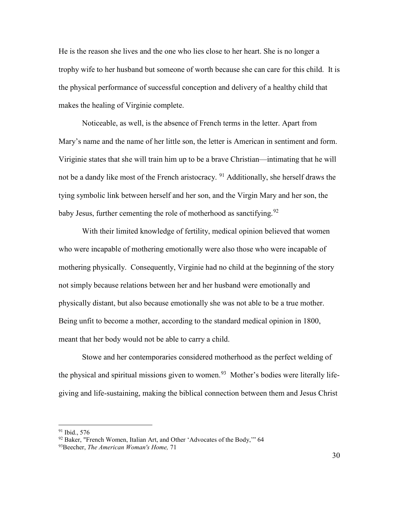He is the reason she lives and the one who lies close to her heart. She is no longer a trophy wife to her husband but someone of worth because she can care for this child. It is the physical performance of successful conception and delivery of a healthy child that makes the healing of Virginie complete.

Noticeable, as well, is the absence of French terms in the letter. Apart from Mary's name and the name of her little son, the letter is American in sentiment and form. Viriginie states that she will train him up to be a brave Christian—intimating that he will not be a dandy like most of the French aristocracy. <sup>[91](#page-43-2)</sup> Additionally, she herself draws the tying symbolic link between herself and her son, and the Virgin Mary and her son, the baby Jesus, further cementing the role of motherhood as sanctifying.<sup>[92](#page-43-4)</sup>

With their limited knowledge of fertility, medical opinion believed that women who were incapable of mothering emotionally were also those who were incapable of mothering physically. Consequently, Virginie had no child at the beginning of the story not simply because relations between her and her husband were emotionally and physically distant, but also because emotionally she was not able to be a true mother. Being unfit to become a mother, according to the standard medical opinion in 1800, meant that her body would not be able to carry a child.

Stowe and her contemporaries considered motherhood as the perfect welding of the physical and spiritual missions given to women.<sup>[93](#page-43-3)</sup> Mother's bodies were literally lifegiving and life-sustaining, making the biblical connection between them and Jesus Christ

 $91$  Ibid., 576

<sup>&</sup>lt;sup>92</sup> Baker, "French Women, Italian Art, and Other 'Advocates of the Body," 64 93Beecher, *The American Woman's Home,* 71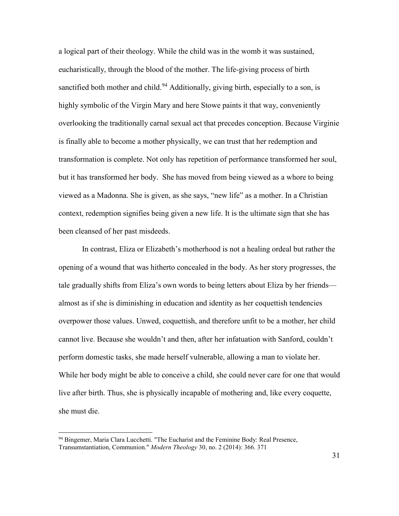a logical part of their theology. While the child was in the womb it was sustained, eucharistically, through the blood of the mother. The life-giving process of birth sanctified both mother and child.<sup>[94](#page-43-4)</sup> Additionally, giving birth, especially to a son, is highly symbolic of the Virgin Mary and here Stowe paints it that way, conveniently overlooking the traditionally carnal sexual act that precedes conception. Because Virginie is finally able to become a mother physically, we can trust that her redemption and transformation is complete. Not only has repetition of performance transformed her soul, but it has transformed her body. She has moved from being viewed as a whore to being viewed as a Madonna. She is given, as she says, "new life" as a mother. In a Christian context, redemption signifies being given a new life. It is the ultimate sign that she has been cleansed of her past misdeeds.

In contrast, Eliza or Elizabeth's motherhood is not a healing ordeal but rather the opening of a wound that was hitherto concealed in the body. As her story progresses, the tale gradually shifts from Eliza's own words to being letters about Eliza by her friends almost as if she is diminishing in education and identity as her coquettish tendencies overpower those values. Unwed, coquettish, and therefore unfit to be a mother, her child cannot live. Because she wouldn't and then, after her infatuation with Sanford, couldn't perform domestic tasks, she made herself vulnerable, allowing a man to violate her. While her body might be able to conceive a child, she could never care for one that would live after birth. Thus, she is physically incapable of mothering and, like every coquette, she must die.

<sup>94</sup> Bingemer, Maria Clara Lucchetti. "The Eucharist and the Feminine Body: Real Presence, Transumstantiation, Communion." *Modern Theology* 30, no. 2 (2014): 366. 371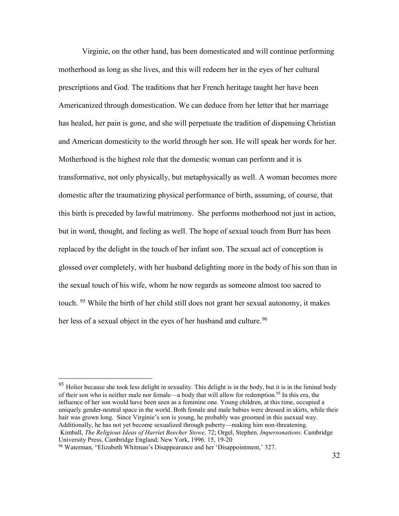Virginie, on the other hand, has been domesticated and will continue performing motherhood as long as she lives, and this will redeem her in the eyes of her cultural prescriptions and God. The traditions that her French heritage taught her have been Americanized through domestication. We can deduce from her letter that her marriage has healed, her pain is gone, and she will perpetuate the tradition of dispensing Christian and American domesticity to the world through her son. He will speak her words for her. Motherhood is the highest role that the domestic woman can perform and it is transformative, not only physically, but metaphysically as well. A woman becomes more domestic after the traumatizing physical performance of birth, assuming, of course, that this birth is preceded by lawful matrimony. She performs motherhood not just in action, but in word, thought, and feeling as well. The hope of sexual touch from Burr has been replaced by the delight in the touch of her infant son. The sexual act of conception is glossed over completely, with her husband delighting more in the body of his son than in the sexual touch of his wife, whom he now regards as someone almost too sacred to touch. <sup>[95](#page-43-9)</sup> While the birth of her child still does not grant her sexual autonomy, it makes her less of a sexual object in the eyes of her husband and culture.<sup>[96](#page-43-3)</sup>

<sup>&</sup>lt;sup>95</sup> Holier because she took less delight in sexuality. This delight is in the body, but it is in the liminal body of their son who is neither male nor female—a body that will allow for redemption.<sup>95</sup> In this era, the influence of her son would have been seen as a feminine one. Young children, at this time, occupied a uniquely gender-neutral space in the world. Both female and male babies were dressed in skirts, while their hair was grown long. Since Virginie's son is young, he probably was groomed in this asexual way. Additionally, he has not yet become sexualized through puberty—making him non-threatening. Kimball, *The Religious Ideas of Harriet Beecher Stowe,* 72; Orgel, Stephen. *Impersonations*. Cambridge University Press, Cambridge England; New York, 1996. 15, 19-20

<sup>96</sup> Waterman, "Elizabeth Whitman's Disappearance and her 'Disappointment,' 327.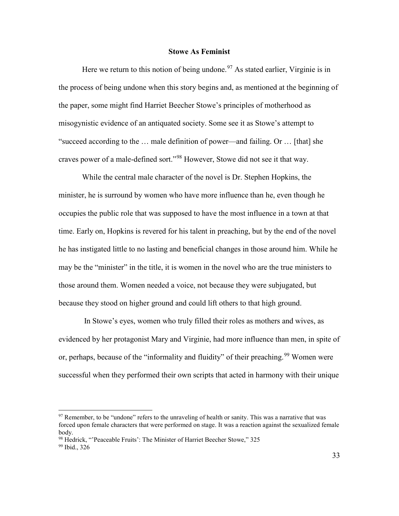#### **Stowe As Feminist**

<span id="page-37-0"></span>Here we return to this notion of being undone.<sup>[97](#page-43-1)</sup> As stated earlier, Virginie is in the process of being undone when this story begins and, as mentioned at the beginning of the paper, some might find Harriet Beecher Stowe's principles of motherhood as misogynistic evidence of an antiquated society. Some see it as Stowe's attempt to "succeed according to the … male definition of power—and failing. Or … [that] she craves power of a male-defined sort."[98](#page-43-4) However, Stowe did not see it that way.

While the central male character of the novel is Dr. Stephen Hopkins, the minister, he is surround by women who have more influence than he, even though he occupies the public role that was supposed to have the most influence in a town at that time. Early on, Hopkins is revered for his talent in preaching, but by the end of the novel he has instigated little to no lasting and beneficial changes in those around him. While he may be the "minister" in the title, it is women in the novel who are the true ministers to those around them. Women needed a voice, not because they were subjugated, but because they stood on higher ground and could lift others to that high ground.

In Stowe's eyes, women who truly filled their roles as mothers and wives, as evidenced by her protagonist Mary and Virginie, had more influence than men, in spite of or, perhaps, because of the "informality and fluidity" of their preaching.<sup>[99](#page-43-3)</sup> Women were successful when they performed their own scripts that acted in harmony with their unique

<sup>&</sup>lt;sup>97</sup> Remember, to be "undone" refers to the unraveling of health or sanity. This was a narrative that was forced upon female characters that were performed on stage. It was a reaction against the sexualized female body.

<sup>&</sup>lt;sup>98</sup> Hedrick, "'Peaceable Fruits': The Minister of Harriet Beecher Stowe," 325

<sup>99</sup> Ibid., 326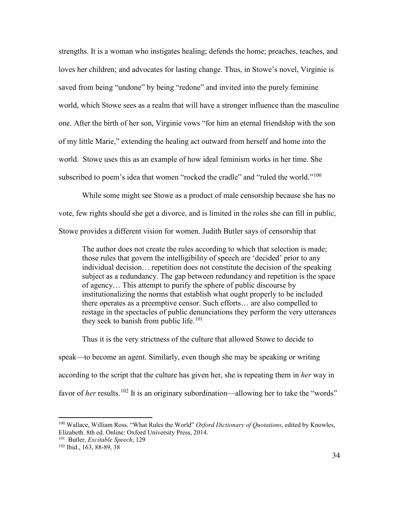strengths. It is a woman who instigates healing; defends the home; preaches, teaches, and loves her children; and advocates for lasting change. Thus, in Stowe's novel, Virginie is saved from being "undone" by being "redone" and invited into the purely feminine world, which Stowe sees as a realm that will have a stronger influence than the masculine one. After the birth of her son, Virginie vows "for him an eternal friendship with the son of my little Marie," extending the healing act outward from herself and home into the world. Stowe uses this as an example of how ideal feminism works in her time. She subscribed to poem's idea that women "rocked the cradle" and "ruled the world."<sup>[100](#page-43-6)</sup>

While some might see Stowe as a product of male censorship because she has no vote, few rights should she get a divorce, and is limited in the roles she can fill in public, Stowe provides a different vision for women. Judith Butler says of censorship that

The author does not create the rules according to which that selection is made; those rules that govern the intelligibility of speech are 'decided' prior to any individual decision… repetition does not constitute the decision of the speaking subject as a redundancy. The gap between redundancy and repetition is the space of agency… This attempt to purify the sphere of public discourse by institutionalizing the norms that establish what ought properly to be included there operates as a preemptive censor. Such efforts… are also compelled to restage in the spectacles of public denunciations they perform the very utterances they seek to banish from public life.<sup>[101](#page-43-4)</sup>

Thus it is the very strictness of the culture that allowed Stowe to decide to

speak—to become an agent. Similarly, even though she may be speaking or writing according to the script that the culture has given her, she is repeating them in *her* way in favor of *her* results.<sup>[102](#page-43-3)</sup> It is an originary subordination—allowing her to take the "words"

<sup>100</sup> Wallace, William Ross. "What Rules the World" *Oxford Dictionary of Quotations*, edited by Knowles, Elizabeth. 8th ed. Online: Oxford University Press, 2014.

<sup>101</sup> Butler, *Excitable Speech*, 129

<sup>102</sup> Ibid., 163, 88-89, 38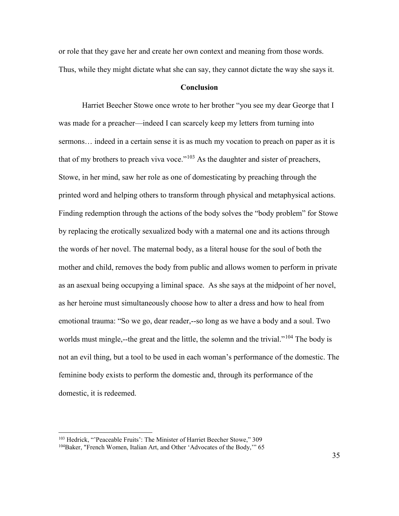or role that they gave her and create her own context and meaning from those words. Thus, while they might dictate what she can say, they cannot dictate the way she says it.

#### **Conclusion**

<span id="page-39-0"></span>Harriet Beecher Stowe once wrote to her brother "you see my dear George that I was made for a preacher—indeed I can scarcely keep my letters from turning into sermons… indeed in a certain sense it is as much my vocation to preach on paper as it is that of my brothers to preach viva voce."<sup>[103](#page-43-4)</sup> As the daughter and sister of preachers, Stowe, in her mind, saw her role as one of domesticating by preaching through the printed word and helping others to transform through physical and metaphysical actions. Finding redemption through the actions of the body solves the "body problem" for Stowe by replacing the erotically sexualized body with a maternal one and its actions through the words of her novel. The maternal body, as a literal house for the soul of both the mother and child, removes the body from public and allows women to perform in private as an asexual being occupying a liminal space. As she says at the midpoint of her novel, as her heroine must simultaneously choose how to alter a dress and how to heal from emotional trauma: "So we go, dear reader,--so long as we have a body and a soul. Two worlds must mingle,--the great and the little, the solemn and the trivial."<sup>[104](#page-43-3)</sup> The body is not an evil thing, but a tool to be used in each woman's performance of the domestic. The feminine body exists to perform the domestic and, through its performance of the domestic, it is redeemed.

<sup>103</sup> Hedrick, "'Peaceable Fruits': The Minister of Harriet Beecher Stowe," 309

<sup>104</sup>Baker, "French Women, Italian Art, and Other 'Advocates of the Body,'" 65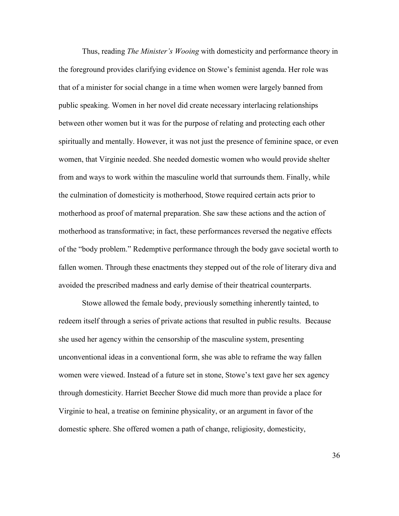Thus, reading *The Minister's Wooing* with domesticity and performance theory in the foreground provides clarifying evidence on Stowe's feminist agenda. Her role was that of a minister for social change in a time when women were largely banned from public speaking. Women in her novel did create necessary interlacing relationships between other women but it was for the purpose of relating and protecting each other spiritually and mentally. However, it was not just the presence of feminine space, or even women, that Virginie needed. She needed domestic women who would provide shelter from and ways to work within the masculine world that surrounds them. Finally, while the culmination of domesticity is motherhood, Stowe required certain acts prior to motherhood as proof of maternal preparation. She saw these actions and the action of motherhood as transformative; in fact, these performances reversed the negative effects of the "body problem." Redemptive performance through the body gave societal worth to fallen women. Through these enactments they stepped out of the role of literary diva and avoided the prescribed madness and early demise of their theatrical counterparts.

Stowe allowed the female body, previously something inherently tainted, to redeem itself through a series of private actions that resulted in public results. Because she used her agency within the censorship of the masculine system, presenting unconventional ideas in a conventional form, she was able to reframe the way fallen women were viewed. Instead of a future set in stone, Stowe's text gave her sex agency through domesticity. Harriet Beecher Stowe did much more than provide a place for Virginie to heal, a treatise on feminine physicality, or an argument in favor of the domestic sphere. She offered women a path of change, religiosity, domesticity,

36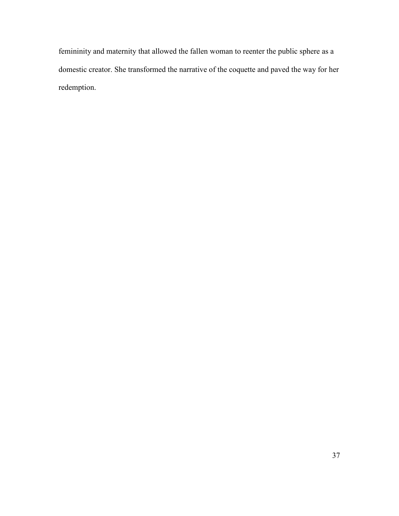femininity and maternity that allowed the fallen woman to reenter the public sphere as a domestic creator. She transformed the narrative of the coquette and paved the way for her redemption.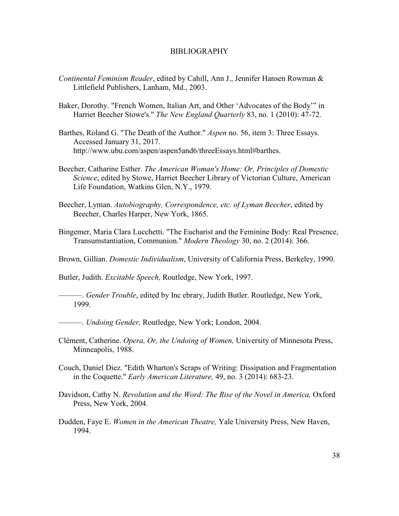#### BIBLIOGRAPHY

- <span id="page-42-0"></span>*Continental Feminism Reader*, edited by Cahill, Ann J., Jennifer Hansen Rowman & Littlefield Publishers, Lanham, Md., 2003.
- Baker, Dorothy. "French Women, Italian Art, and Other 'Advocates of the Body'" in Harriet Beecher Stowe's." *The New England Quarterly* 83, no. 1 (2010): 47-72.
- Barthes, Roland G. "The Death of the Author." *Aspen* no. 56, item 3: Three Essays. Accessed January 31, 2017. http://www.ubu.com/aspen/aspen5and6/threeEssays.html#barthes.
- Beecher, Catharine Esther. *The American Woman's Home: Or, Principles of Domestic Science*, edited by Stowe, Harriet Beecher Library of Victorian Culture, American Life Foundation, Watkins Glen, N.Y., 1979.
- Beecher, Lyman. *Autobiography, Correspondence, etc. of Lyman Beecher*, edited by Beecher, Charles Harper, New York, 1865.
- Bingemer, Maria Clara Lucchetti. "The Eucharist and the Feminine Body: Real Presence, Transumstantiation, Communion." *Modern Theology* 30, no. 2 (2014): 366.
- Brown, Gillian. *Domestic Individualism*, University of California Press, Berkeley, 1990.

Butler, Judith. *Excitable Speech,* Routledge, New York, 1997.

- ———. *Gender Trouble*, edited by Inc ebrary, Judith Butler. Routledge, New York, 1999.
- ———. *Undoing Gender,* Routledge, New York; London, 2004.
- Clément, Catherine. *Opera, Or, the Undoing of Women,* University of Minnesota Press, Minneapolis, 1988.
- Couch, Daniel Diez. "Edith Wharton's Scraps of Writing: Dissipation and Fragmentation in the Coquette." *Early American Literature,* 49, no. 3 (2014): 683-23.
- Davidson, Cathy N. *Revolution and the Word: The Rise of the Novel in America,* Oxford Press, New York, 2004.
- Dudden, Faye E. *Women in the American Theatre,* Yale University Press, New Haven, 1994.